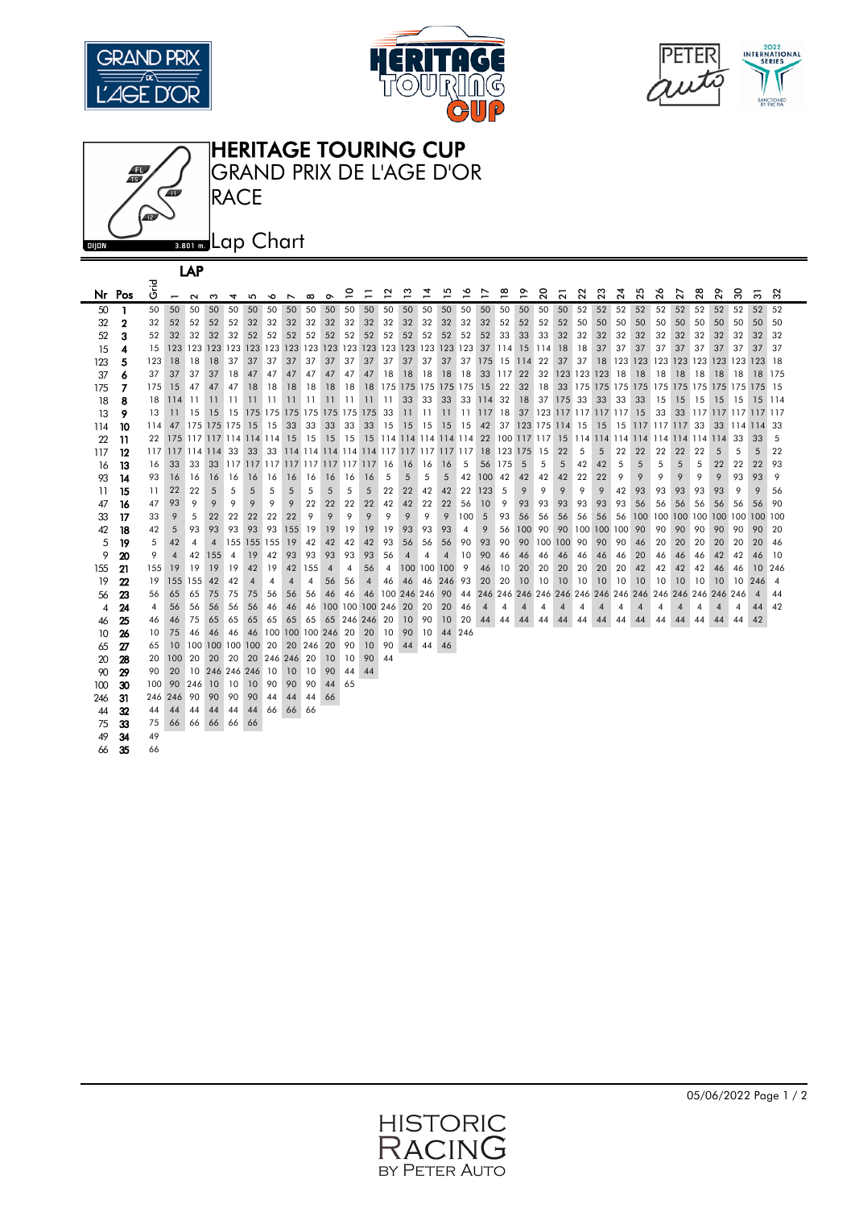







| LAP             |          |                  |                |         |     |                                           |             |                       |                |          |                                |          |          |                |                     |          |     |                |           |                  |     |                                          |                   |     |         |                 |    |                                 |                |    |                                    |     |                |                |
|-----------------|----------|------------------|----------------|---------|-----|-------------------------------------------|-------------|-----------------------|----------------|----------|--------------------------------|----------|----------|----------------|---------------------|----------|-----|----------------|-----------|------------------|-----|------------------------------------------|-------------------|-----|---------|-----------------|----|---------------------------------|----------------|----|------------------------------------|-----|----------------|----------------|
|                 | Nr Pos   | <b>J</b><br>Grid | $\overline{a}$ | $\sim$  | ო   | 4                                         | 5           | ó                     | ↖              | $\infty$ | $\sigma$                       | 0        |          | ≃              | ొ                   | 혼        | 므   | ⋍              | ₽         | ≌                | °   | $\overline{c}$                           | ្ត                | ສ   | 23      | $\overline{24}$ | 25 | 26                              | 27             | 28 | 29                                 | 30  | స్             | 32             |
| 50              | 1        | 50               | 50             | 50      | 50  | 50                                        | 50          | 50                    | 50             | 50       | 50                             | 50       | 50       | 50             | 50                  | 50       | 50  | 50             | 50        | 50               | 50  | 50                                       | 50                | 52  | 52      | 52              | 52 | 52                              | 52             | 52 | 52                                 | 52  | 52             | 52             |
| 32              | 2        | 32               | 52             | 52      | 52  | 52                                        | 32          | 32                    | 32             | 32       | 32                             | 32       | 32       | 32             | 32                  | 32       | 32  | 32             | 32        | 52               | 52  | 52                                       | 52                | 50  | 50      | 50              | 50 | 50                              | 50             | 50 | 50                                 | 50  | 50             | 50             |
| 52              | 3        | 52               | 32             | 32      | 32  | 32                                        | 52          | 52                    | 52             | 52       | 52                             | 52       | 52       | 52             | 52                  | 52       | 52  | 52             | 52        | 33               | 33  | 33                                       | 32                | 32  | 32      | 32              | 32 | 32                              | 32             | 32 | 32                                 | 32  | 32             | 32             |
| 15              | 4        | 15               |                |         |     |                                           |             |                       |                |          |                                |          |          |                |                     |          |     |                |           | 114              | 15  | 114                                      | <b>18</b>         | 18  | 37      | 37              | 37 | 37                              | 37             | 37 | 37                                 | 37  | 37             | 37             |
| 123             | 5        | 123              | 18             | 18      | 18  | 37                                        | 37          | 37                    | 37             | 37       | 37                             | 37       | 37       | 37             | 37                  | 37       | 37  |                |           | 37 175 15 114 22 |     |                                          | 37                | 37  | 18      |                 |    |                                 |                |    | 123 123 123 123 123 123 123 123 18 |     |                |                |
| 37              |          | 37               | 37             | 37      | 37  | 18                                        | 47          | 47                    | 47             | 47       | 47                             | 47       | 47       | 18             | 18                  | 18       | 18  | 18             |           | 33 117 22        |     |                                          | 32 123 123 123 18 |     |         |                 | 18 | 18                              | 18             | 18 | 18                                 | 18  | 18             | 175            |
| 175             | 7        | 175              | 15             | 47      | 47  | 47                                        | 18          | 18                    | 18             | 18       | 18                             | 18       | 18       |                | 175 175 175 175 175 |          |     |                | 15        | 22               | 32  | 18                                       |                   |     |         |                 |    |                                 |                |    |                                    |     |                |                |
| 18              | 8        | 18               | 114            | 11      | 11  | 11                                        | 11          | 11                    | 11             | 11       | 11                             | 11       | 11       | 11             | 33                  | 33       | 33  |                | 33 114 32 |                  | 18  |                                          | 37 175 33         |     | 33      | 33              | 33 | 15                              | 15             | 15 | 15                                 | 15  | 15             | 114            |
| 13              | 9        | 13               | 11             | 15      | 15  |                                           |             |                       |                |          | 15 175 175 175 175 175 175 175 |          |          | 33             | 11                  | 11       | 11  |                | 11 117 18 |                  |     | 37 123 117 117 117 117 15                |                   |     |         |                 |    | 33                              |                |    | 33 117 117 117 117 117             |     |                |                |
| 114             | 10       | 114              | 47             |         |     | 175 175 175 15                            |             | 15                    | 33             | 33       | 33                             | 33       | 33       | 15             | 15                  | 15       | 15  | 15             | 42        |                  |     | 37 123 175 114 15                        |                   |     | 15      |                 |    | 15 117 117 117 33               |                |    | 33                                 | 114 | 114 33         |                |
| 22              | 11       | 22               |                |         |     | 175 117 117 114 114 114                   |             |                       | -15            | 15       | 15                             | 15       |          |                |                     |          |     |                |           |                  |     | 15 114 114 114 114 114 22 100 117 117 15 |                   |     |         |                 |    | 114 114 114 114 114 114 114 114 |                |    |                                    | 33  | 33             | 5              |
| 117             | 12       | 117              | 117 114 114    |         |     | 33                                        | 33          |                       |                |          |                                |          |          |                |                     |          |     |                | 18        | 123 175 15       |     |                                          | 22                | 5   | 5       | 22              | 22 | 22                              | 22             | 22 | 5                                  | 5   | 5              | 22             |
| 16              | 13       | 16               | 33             | 33      | 33  | <u>ן 117 זון 117 זון 117 זון 117 זון </u> |             |                       |                |          |                                |          |          | 16             | 16                  | 16       | 16  | 5              | 56        | 175              | 5   | 5                                        | 5                 | 42  | 42      | 5               | 5  | 5                               | 5              | 5  | 22                                 | 22  | 22             | 93             |
| 93              | 14       | 93               | 16             | 16      | 16  | 16                                        | 16          | 16                    | 16             | 16       | 16                             | 16       | 16       | 5              | 5                   | 5        | 5   | 42             | 100       | 42               | 42  | 42                                       | 42                | 22  | 22      | 9               | 9  | 9                               | 9              | 9  | 9                                  | 93  | 93             | 9              |
| 11              | 15       | 11               | 22             | 22      | 5   | 5                                         | 5           | 5                     | 5              | 5        | 5                              | 5        | 5        | 22             | 22                  | 42       | 42  | 22             | 123       | 5                | 9   | 9                                        | 9                 | 9   | 9       | 42              | 93 | 93                              | 93             | 93 | 93                                 | 9   | 9              | 56             |
| 47              | 16       | 47               | 93             | 9       | 9   | 9                                         | 9           | 9                     | 9              | 22       | 22                             | 22       | 22       | 42             | 42                  | 22       | 22  | 56             | 10        | 9                | 93  | 93                                       | 93                | 93  | 93      | 93              | 56 | 56                              | 56             | 56 | 56                                 | 56  | 56             | 90             |
| 33              | 17       | 33               | 9              | 5       | 22  | 22                                        | 22          | 22                    | 22             | 9        | 9                              | 9        | 9        | 9              | 9                   | 9        | 9   | 100            | 5         | 93               | 56  | 56                                       | 56                | 56  | 56      | 56              |    |                                 |                |    | 100 100 100 100 100 100 100 100    |     |                |                |
| 42              | 18       | 42               | 5              | 93      | 93  | 93                                        | 93          | 93                    | 155            | 19       | 19                             | 19       | 19       | 19             | 93                  | 93       | 93  | $\overline{4}$ | 9         | 56               | 100 | 90                                       | 90                | 100 | 100 100 |                 | 90 | 90                              | 90             | 90 | 90                                 | 90  | 90             | 20             |
| 5               | 19       | 5                | 42             | 4       | 4   |                                           | 155 155 155 |                       | 19             | 42       | 42                             | 42       | 42       | 93             | 56                  | 56       | 56  | 90             | 93        | 90               | 90  | 100                                      | 100               | 90  | 90      | 90              | 46 | 20                              | 20             | 20 | 20                                 | 20  | 20             | 46             |
| 9               | 20       | 9                | $\overline{4}$ | 42      | 155 | $\overline{4}$                            | 19          | 42                    | 93             | 93       | 93                             | 93       | 93       | 56             | 4                   | 4        | 4   | 10             | 90        | 46               | 46  | 46                                       | 46                | 46  | 46      | 46              | 20 | 46                              | 46             | 46 | 42                                 | 42  | 46             | 10             |
| 155             | 21       | 155              | 19             | 19      | 19  | 19                                        | 42          | 19                    | 42             | 155      | $\overline{4}$                 | 4        | 56       | $\overline{4}$ | 100 100 100         |          |     | 9              | 46        | 10               | 20  | 20                                       | 20                | 20  | 20      | 20              | 42 | 42                              | 42             | 42 | 46                                 | 46  | 10             | 246            |
| 19              | 22       | 19               |                | 155 155 | 42  | 42                                        | 4           | 4                     | $\overline{4}$ | 4        | 56                             | 56       | 4        | 46             | 46                  | 46       | 246 | 93             | 20        | 20               | 10  | 10                                       | 10                | 10  | 10      | 10              | 10 | 10                              | 10             | 10 | 10                                 | 10  | 246            | $\overline{4}$ |
| 56              | 23       | 56               | 65             | 65      | 75  | 75                                        | 75          | 56                    | 56             | 56       | 46                             | 46       | 46       |                | 100 246 246         |          | 90  | 44             |           |                  |     | 246 246 246 246 246 246 246 246          |                   |     |         |                 |    |                                 |                |    | 246 246 246 246 246 246            |     | $\overline{4}$ | 44             |
| 4               | 24       | $\overline{4}$   | 56             | 56      | 56  | 56                                        | 56          | 46                    | 46             | 46       | 100 100 100 246                |          |          |                | 20                  | 20       | 20  | 46             | 4         | 4                | 4   | 4                                        | 4                 | 4   | 4       | 4               | 4  | 4                               | $\overline{4}$ | 4  | 4                                  | 4   | 44             | 42             |
| 46              | 25       | 46<br>10         | 46<br>75       | 75      | 65  | 65                                        | 65          | 65<br>100 100 100 246 | 65             | 65       | 65                             | 246      | 246      | 20<br>10       | 10<br>90            | 90<br>10 | 10  | 20<br>246      | 44        | 44               | 44  | 44                                       | 44                | 44  | 44      | 44              | 44 | 44                              | 44             | 44 | 44                                 | 44  | 42             |                |
| 10 <sup>°</sup> | 26       | 65               | 10             | 46      | 46  | 46<br>100 100 100 100                     | 46          | 20                    | 20             | 246      |                                | 20<br>90 | 20<br>10 | 90             |                     | 44       | 44  |                |           |                  |     |                                          |                   |     |         |                 |    |                                 |                |    |                                    |     |                |                |
| 65<br>20        | 27<br>28 | 20               | 100            | 20      | 20  | 20                                        |             | 20 246 246            |                | 20       | 20<br>10                       | 10       | 90       | 44             | 44                  |          | 46  |                |           |                  |     |                                          |                   |     |         |                 |    |                                 |                |    |                                    |     |                |                |
| 90              | 29       | 90               | 20             |         |     | 10 246 246 246                            |             | 10                    | 10             | 10       | 90                             | 44       | 44       |                |                     |          |     |                |           |                  |     |                                          |                   |     |         |                 |    |                                 |                |    |                                    |     |                |                |
| 100             | 30       | 100              | 90             | 246     | 10  | 10                                        | 10          | 90                    | 90             | 90       | 44                             | 65       |          |                |                     |          |     |                |           |                  |     |                                          |                   |     |         |                 |    |                                 |                |    |                                    |     |                |                |
| 246             | 31       | 246              | 246            | 90      | 90  | 90                                        | 90          | 44                    | 44             | 44       | 66                             |          |          |                |                     |          |     |                |           |                  |     |                                          |                   |     |         |                 |    |                                 |                |    |                                    |     |                |                |
| 44              | 32       | 44               | 44             | 44      | 44  | 44                                        | 44          | 66                    | 66             | -66      |                                |          |          |                |                     |          |     |                |           |                  |     |                                          |                   |     |         |                 |    |                                 |                |    |                                    |     |                |                |
| 75              | 33       | 75               | 66             | 66      | 66  | 66                                        | 66          |                       |                |          |                                |          |          |                |                     |          |     |                |           |                  |     |                                          |                   |     |         |                 |    |                                 |                |    |                                    |     |                |                |
| 49              | 34       | 49               |                |         |     |                                           |             |                       |                |          |                                |          |          |                |                     |          |     |                |           |                  |     |                                          |                   |     |         |                 |    |                                 |                |    |                                    |     |                |                |
| 66              | 35       | 66               |                |         |     |                                           |             |                       |                |          |                                |          |          |                |                     |          |     |                |           |                  |     |                                          |                   |     |         |                 |    |                                 |                |    |                                    |     |                |                |
|                 |          |                  |                |         |     |                                           |             |                       |                |          |                                |          |          |                |                     |          |     |                |           |                  |     |                                          |                   |     |         |                 |    |                                 |                |    |                                    |     |                |                |